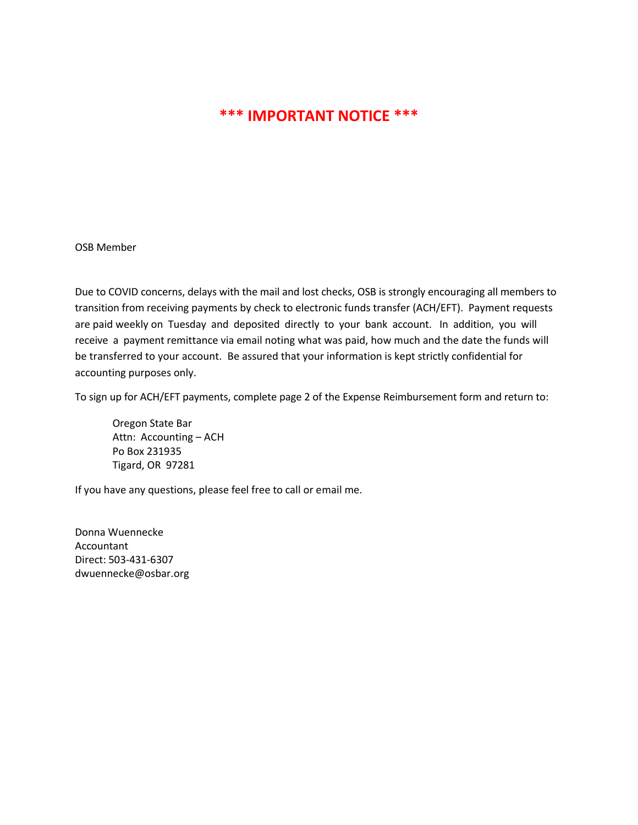## **\*\*\* IMPORTANT NOTICE \*\*\***

OSB Member

Due to COVID concerns, delays with the mail and lost checks, OSB is strongly encouraging all members to transition from receiving payments by check to electronic funds transfer (ACH/EFT). Payment requests are paid weekly on Tuesday and deposited directly to your bank account. In addition, you will receive a payment remittance via email noting what was paid, how much and the date the funds will be transferred to your account. Be assured that your information is kept strictly confidential for accounting purposes only.

To sign up for ACH/EFT payments, complete page 2 of the Expense Reimbursement form and return to:

Oregon State Bar Attn: Accounting – ACH Po Box 231935 Tigard, OR 97281

If you have any questions, please feel free to call or email me.

Donna Wuennecke Accountant Direct: 503-431-6307 dwuennecke@osbar.org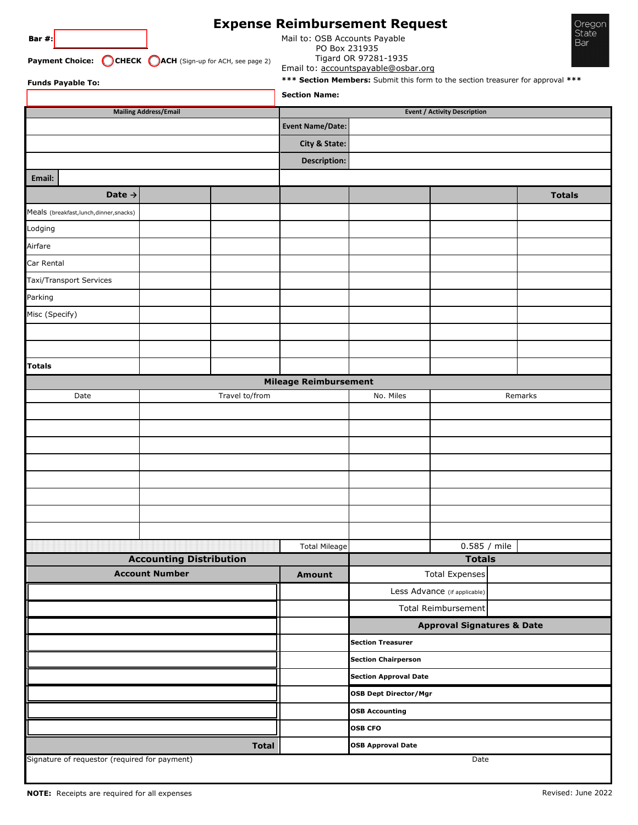| Bar $#$ :<br><b>Funds Payable To:</b>                   | Payment Choice: CHECK CACH (Sign-up for ACH, see page 2) | Mail to: OSB Accounts Payable<br>PO Box 231935<br><b>Section Name:</b> | <b>Expense Reimbursement Request</b><br>Tigard OR 97281-1935<br>Email to: accountspayable@osbar.org |                              | Oregon<br>State<br>Bar<br>*** Section Members: Submit this form to the section treasurer for approval *** |
|---------------------------------------------------------|----------------------------------------------------------|------------------------------------------------------------------------|-----------------------------------------------------------------------------------------------------|------------------------------|-----------------------------------------------------------------------------------------------------------|
| <b>Mailing Address/Email</b>                            | <b>Event / Activity Description</b>                      |                                                                        |                                                                                                     |                              |                                                                                                           |
|                                                         |                                                          | <b>Event Name/Date:</b>                                                |                                                                                                     |                              |                                                                                                           |
|                                                         |                                                          | City & State:                                                          |                                                                                                     |                              |                                                                                                           |
|                                                         |                                                          | <b>Description:</b>                                                    |                                                                                                     |                              |                                                                                                           |
| Email:                                                  |                                                          |                                                                        |                                                                                                     |                              |                                                                                                           |
| Date $\rightarrow$                                      |                                                          |                                                                        |                                                                                                     |                              | <b>Totals</b>                                                                                             |
| Meals (breakfast, lunch, dinner, snacks)                |                                                          |                                                                        |                                                                                                     |                              |                                                                                                           |
| Lodging                                                 |                                                          |                                                                        |                                                                                                     |                              |                                                                                                           |
| Airfare                                                 |                                                          |                                                                        |                                                                                                     |                              |                                                                                                           |
| Car Rental                                              |                                                          |                                                                        |                                                                                                     |                              |                                                                                                           |
| Taxi/Transport Services                                 |                                                          |                                                                        |                                                                                                     |                              |                                                                                                           |
| Parking                                                 |                                                          |                                                                        |                                                                                                     |                              |                                                                                                           |
| Misc (Specify)                                          |                                                          |                                                                        |                                                                                                     |                              |                                                                                                           |
|                                                         |                                                          |                                                                        |                                                                                                     |                              |                                                                                                           |
|                                                         |                                                          |                                                                        |                                                                                                     |                              |                                                                                                           |
| <b>Totals</b>                                           |                                                          |                                                                        |                                                                                                     |                              |                                                                                                           |
|                                                         |                                                          | <b>Mileage Reimbursement</b>                                           |                                                                                                     |                              |                                                                                                           |
| Date                                                    | Travel to/from                                           |                                                                        | No. Miles                                                                                           |                              | Remarks                                                                                                   |
|                                                         |                                                          |                                                                        |                                                                                                     |                              |                                                                                                           |
|                                                         |                                                          |                                                                        |                                                                                                     |                              |                                                                                                           |
|                                                         |                                                          |                                                                        |                                                                                                     |                              |                                                                                                           |
|                                                         |                                                          |                                                                        |                                                                                                     |                              |                                                                                                           |
|                                                         |                                                          |                                                                        |                                                                                                     |                              |                                                                                                           |
|                                                         |                                                          |                                                                        |                                                                                                     |                              |                                                                                                           |
|                                                         |                                                          |                                                                        |                                                                                                     |                              |                                                                                                           |
|                                                         |                                                          |                                                                        |                                                                                                     |                              |                                                                                                           |
|                                                         |                                                          | <b>Total Mileage</b>                                                   |                                                                                                     | 0.585 / mile                 |                                                                                                           |
| <b>Accounting Distribution</b><br><b>Account Number</b> |                                                          | Amount                                                                 | <b>Totals</b><br><b>Total Expenses</b>                                                              |                              |                                                                                                           |
|                                                         |                                                          |                                                                        |                                                                                                     | Less Advance (if applicable) |                                                                                                           |
|                                                         |                                                          | Total Reimbursement                                                    |                                                                                                     |                              |                                                                                                           |
|                                                         |                                                          | <b>Approval Signatures &amp; Date</b>                                  |                                                                                                     |                              |                                                                                                           |
|                                                         |                                                          | <b>Section Treasurer</b>                                               |                                                                                                     |                              |                                                                                                           |
|                                                         |                                                          | <b>Section Chairperson</b>                                             |                                                                                                     |                              |                                                                                                           |
|                                                         |                                                          | <b>Section Approval Date</b>                                           |                                                                                                     |                              |                                                                                                           |
|                                                         |                                                          | <b>OSB Dept Director/Mgr</b>                                           |                                                                                                     |                              |                                                                                                           |
|                                                         |                                                          | <b>OSB Accounting</b>                                                  |                                                                                                     |                              |                                                                                                           |
|                                                         |                                                          |                                                                        | <b>OSB CFO</b>                                                                                      |                              |                                                                                                           |
|                                                         |                                                          | <b>OSB Approval Date</b>                                               |                                                                                                     |                              |                                                                                                           |
| Signature of requestor (required for payment)           | Date                                                     |                                                                        |                                                                                                     |                              |                                                                                                           |

Oregon